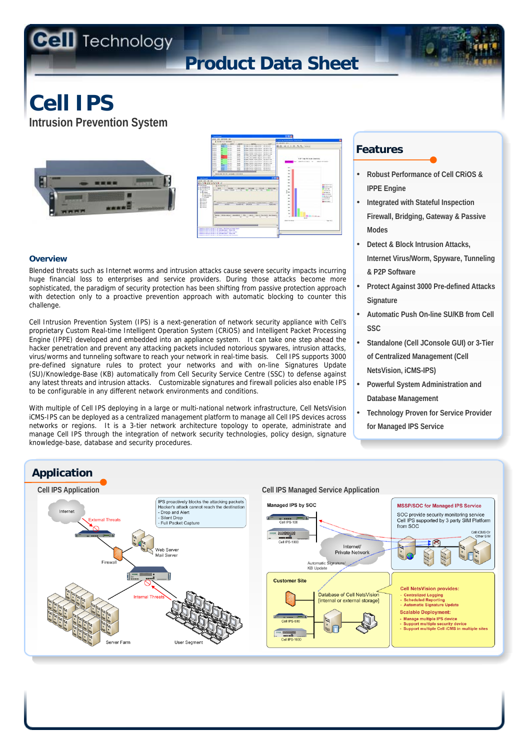$\text{Cell}$  Technology

# **Product Data Sheet**



**Intrusion Prevention System**





#### **Overview**

Blended threats such as Internet worms and intrusion attacks cause severe security impacts incurring huge financial loss to enterprises and service providers. During those attacks become more sophisticated, the paradigm of security protection has been shifting from passive protection approach with detection only to a proactive prevention approach with automatic blocking to counter this challenge.

Cell Intrusion Prevention System (IPS) is a next-generation of network security appliance with Cell's proprietary Custom Real-time Intelligent Operation System (CRiOS) and Intelligent Packet Processing Engine (IPPE) developed and embedded into an appliance system. It can take one step ahead the hacker penetration and prevent any attacking packets included notorious spywares, intrusion attacks, virus/worms and tunneling software to reach your network in real-time basis. Cell IPS supports 3000 pre-defined signature rules to protect your networks and with on-line Signatures Update (SU)/Knowledge-Base (KB) automatically from Cell Security Service Centre (SSC) to defense against any latest threats and intrusion attacks. Customizable signatures and firewall policies also enable IPS to be configurable in any different network environments and conditions.

With multiple of Cell IPS deploying in a large or multi-national network infrastructure, Cell NetsVision iCMS-IPS can be deployed as a centralized management platform to manage all Cell IPS devices across networks or regions. It is a 3-tier network architecture topology to operate, administrate and manage Cell IPS through the integration of network security technologies, policy design, signature knowledge-base, database and security procedures.

# **Features**

- **Robust Performance of Cell CRiOS & IPPE Engine**
- **Integrated with Stateful Inspection Firewall, Bridging, Gateway & Passive Modes**
- **Detect & Block Intrusion Attacks, Internet Virus/Worm, Spyware, Tunneling & P2P Software**
- **Protect Against 3000 Pre-defined Attacks Signature**
- **Automatic Push On-line SU/KB from Cell SSC**
- **Standalone (Cell JConsole GUI) or 3-Tier of Centralized Management (Cell NetsVision, iCMS-IPS)**
- **Powerful System Administration and Database Management**
- **Technology Proven for Service Provider for Managed IPS Service**